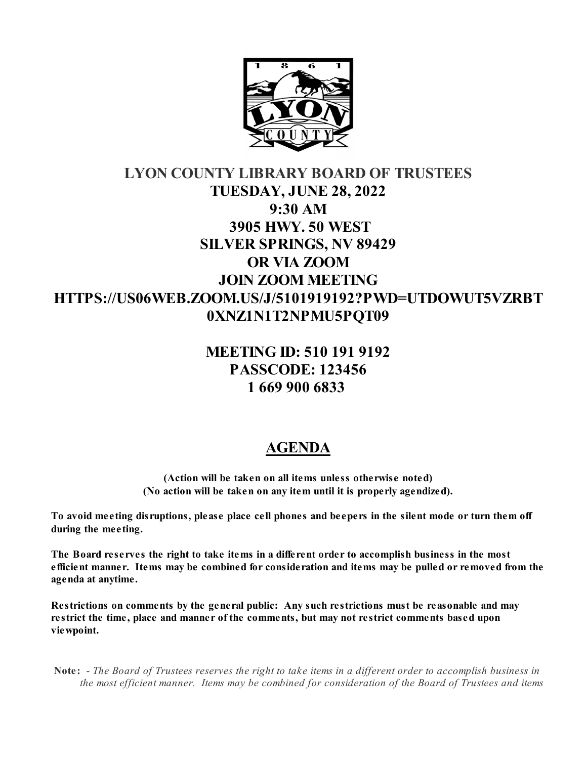

# **LYON COUNTY LIBRARY BOARD OF TRUSTEES TUESDAY, JUNE 28, 2022 9:30 AM 3905 HWY. 50 WEST SILVER SPRINGS, NV 89429 OR VIA ZOOM JOIN ZOOM MEETING HTTPS://US06WEB.ZOOM.US/J/5101919192?PWD=UTDOWUT5VZRBT 0XNZ1N1T2NPMU5PQT09**

## **MEETING ID: 510 191 9192 PASSCODE: 123456 1 669 900 6833**

## **AGENDA**

**(Action will be taken on all items unless otherwise noted) (No action will be taken on any item until it is properly agendized).**

**To avoid meeting disruptions, please place cell phones and beepers in the silent mode or turn them off during the meeting.**

**The Board reserves the right to take items in a different order to accomplish business in the most efficient manner. Items may be combined for consideration and items may be pulled or removed from the agenda at anytime.** 

**Restrictions on comments by the general public: Any such restrictions must be reasonable and may restrict the time, place and manner of the comments, but may not restrict comments based upon viewpoint.**

 **Note:** - *The Board of Trustees reserves the right to take items in a different order to accomplish business in the most efficient manner. Items may be combined for consideration of the Board of Trustees and items*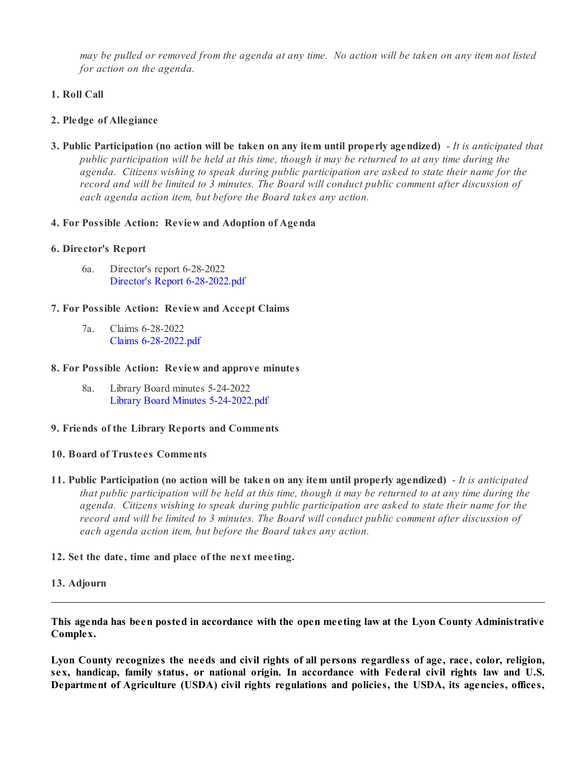*may be pulled or removed from the agenda at any time. No action will be taken on any item not listed for action on the agenda.*

### **1. Roll Call**

### **2. Pledge of Allegiance**

**3. Public Participation (no action will be taken on any item until properly agendized)** - *It is anticipated that public participation will be held at this time, though it may be returned to at any time during the agenda. Citizens wishing to speak during public participation are asked to state their name for the record and will be limited to 3 minutes. The Board will conduct public comment after discussion of each agenda action item, but before the Board takes any action.*

#### **4. For Possible Action: Review and Adoption of Agenda**

#### **6. Director's Report**

6a. Director's report 6-28-2022 [Director's Report 6-28-2022.pdf](https://legistarweb-production.s3.amazonaws.com/uploads/attachment/pdf/1437997/Director_s_Report_6-28-2022.pdf)

#### **7. For Possible Action: Review and Accept Claims**

7a. Claims 6-28-2022 [Claims 6-28-2022.pdf](https://legistarweb-production.s3.amazonaws.com/uploads/attachment/pdf/1437776/Claims_6-28-2022.pdf)

#### **8. For Possible Action: Review and approve minutes**

8a. Library Board minutes 5-24-2022 [Library Board Minutes 5-24-2022.pdf](https://legistarweb-production.s3.amazonaws.com/uploads/attachment/pdf/1437957/Library_Board_Minutes_5-24-2022.pdf)

#### **9. Friends of the Library Reports and Comments**

#### **10. Board of Trustees Comments**

- **11. Public Participation (no action will be taken on any item until properly agendized)** *It is anticipated that public participation will be held at this time, though it may be returned to at any time during the agenda. Citizens wishing to speak during public participation are asked to state their name for the record and will be limited to 3 minutes. The Board will conduct public comment after discussion of each agenda action item, but before the Board takes any action.*
- **12. Set the date, time and place of the next meeting.**

#### **13. Adjourn**

**This agenda has been posted in accordance with the open meeting law at the Lyon County Administrative Complex.**

**Lyon County recognizes the needs and civil rights of all persons regardless of age, race, color, religion, sex, handicap, family status, or national origin. In accordance with Federal civil rights law and U.S. Department of Agriculture (USDA) civil rights regulations and policies, the USDA, its agencies, offices,**